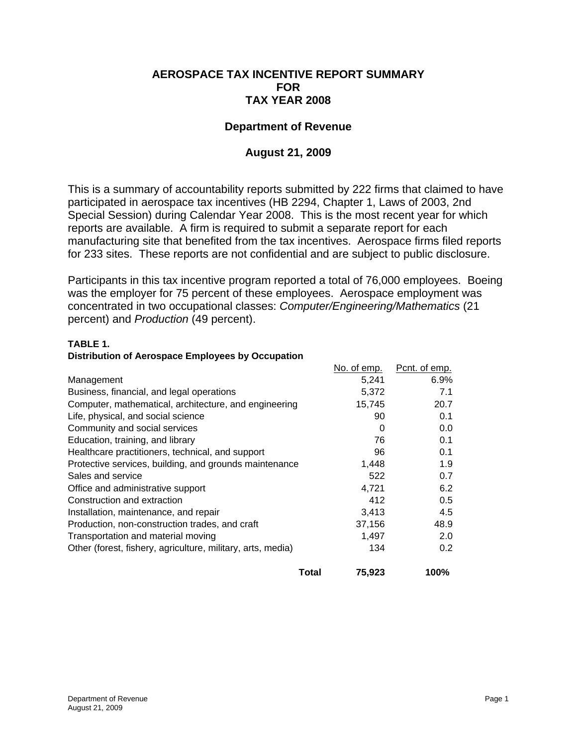## **AEROSPACE TAX INCENTIVE REPORT SUMMARY FOR TAX YEAR 2008**

## **Department of Revenue**

# **August 21, 2009**

This is a summary of accountability reports submitted by 222 firms that claimed to have participated in aerospace tax incentives (HB 2294, Chapter 1, Laws of 2003, 2nd Special Session) during Calendar Year 2008. This is the most recent year for which reports are available. A firm is required to submit a separate report for each manufacturing site that benefited from the tax incentives. Aerospace firms filed reports for 233 sites. These reports are not confidential and are subject to public disclosure.

Participants in this tax incentive program reported a total of 76,000 employees. Boeing was the employer for 75 percent of these employees. Aerospace employment was concentrated in two occupational classes: *Computer/Engineering/Mathematics* (21 percent) and *Production* (49 percent).

#### **TABLE 1.**

#### **Distribution of Aerospace Employees by Occupation**

|                                                             | No. of emp. | Pcnt. of emp.    |
|-------------------------------------------------------------|-------------|------------------|
| Management                                                  | 5,241       | $6.9\%$          |
| Business, financial, and legal operations                   | 5,372       | 7.1              |
| Computer, mathematical, architecture, and engineering       | 15,745      | 20.7             |
| Life, physical, and social science                          | 90          | 0.1              |
| Community and social services                               | 0           | 0.0              |
| Education, training, and library                            | 76          | 0.1              |
| Healthcare practitioners, technical, and support            | 96          | 0.1              |
| Protective services, building, and grounds maintenance      | 1,448       | 1.9              |
| Sales and service                                           | 522         | 0.7              |
| Office and administrative support                           | 4,721       | 6.2              |
| Construction and extraction                                 | 412         | 0.5              |
| Installation, maintenance, and repair                       | 3,413       | 4.5              |
| Production, non-construction trades, and craft              | 37,156      | 48.9             |
| Transportation and material moving                          | 1,497       | 2.0              |
| Other (forest, fishery, agriculture, military, arts, media) | 134         | 0.2 <sub>0</sub> |
| <b>Total</b>                                                | 75,923      | 100%             |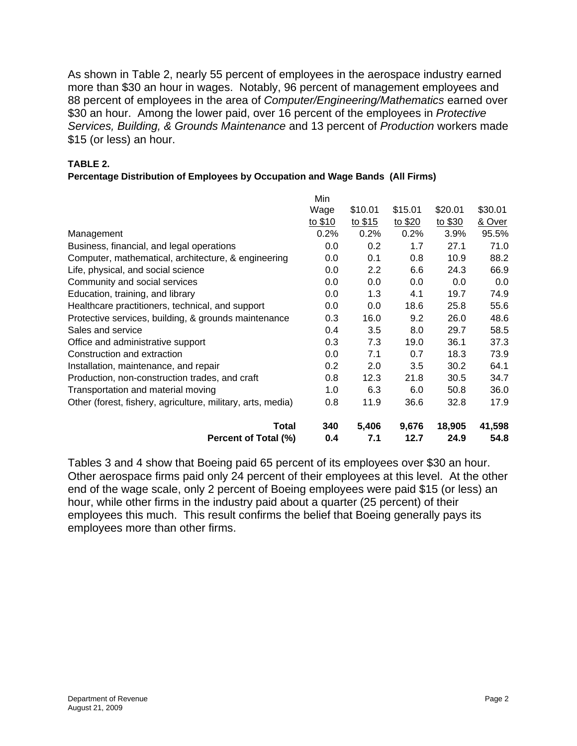As shown in Table 2, nearly 55 percent of employees in the aerospace industry earned more than \$30 an hour in wages. Notably, 96 percent of management employees and 88 percent of employees in the area of *Computer/Engineering/Mathematics* earned over \$30 an hour. Among the lower paid, over 16 percent of the employees in *Protective Services, Building, & Grounds Maintenance* and 13 percent of *Production* workers made \$15 (or less) an hour.

### **TABLE 2.**

#### **Percentage Distribution of Employees by Occupation and Wage Bands (All Firms)**

|                                                             | Min     |         |         |         |         |
|-------------------------------------------------------------|---------|---------|---------|---------|---------|
|                                                             | Wage    | \$10.01 | \$15.01 | \$20.01 | \$30.01 |
|                                                             | to \$10 | to \$15 | to \$20 | to \$30 | & Over  |
| Management                                                  | 0.2%    | 0.2%    | 0.2%    | 3.9%    | 95.5%   |
| Business, financial, and legal operations                   | 0.0     | 0.2     | 1.7     | 27.1    | 71.0    |
| Computer, mathematical, architecture, & engineering         | 0.0     | 0.1     | 0.8     | 10.9    | 88.2    |
| Life, physical, and social science                          | 0.0     | 2.2     | 6.6     | 24.3    | 66.9    |
| Community and social services                               | 0.0     | 0.0     | 0.0     | 0.0     | 0.0     |
| Education, training, and library                            | 0.0     | 1.3     | 4.1     | 19.7    | 74.9    |
| Healthcare practitioners, technical, and support            | 0.0     | 0.0     | 18.6    | 25.8    | 55.6    |
| Protective services, building, & grounds maintenance        | 0.3     | 16.0    | 9.2     | 26.0    | 48.6    |
| Sales and service                                           | 0.4     | 3.5     | 8.0     | 29.7    | 58.5    |
| Office and administrative support                           | 0.3     | 7.3     | 19.0    | 36.1    | 37.3    |
| Construction and extraction                                 | 0.0     | 7.1     | 0.7     | 18.3    | 73.9    |
| Installation, maintenance, and repair                       | 0.2     | 2.0     | 3.5     | 30.2    | 64.1    |
| Production, non-construction trades, and craft              | 0.8     | 12.3    | 21.8    | 30.5    | 34.7    |
| Transportation and material moving                          | 1.0     | 6.3     | 6.0     | 50.8    | 36.0    |
| Other (forest, fishery, agriculture, military, arts, media) | 0.8     | 11.9    | 36.6    | 32.8    | 17.9    |
| Total                                                       | 340     | 5,406   | 9,676   | 18,905  | 41,598  |
| Percent of Total (%)                                        | 0.4     | 7.1     | 12.7    | 24.9    | 54.8    |

Tables 3 and 4 show that Boeing paid 65 percent of its employees over \$30 an hour. Other aerospace firms paid only 24 percent of their employees at this level. At the other end of the wage scale, only 2 percent of Boeing employees were paid \$15 (or less) an hour, while other firms in the industry paid about a quarter (25 percent) of their employees this much. This result confirms the belief that Boeing generally pays its employees more than other firms.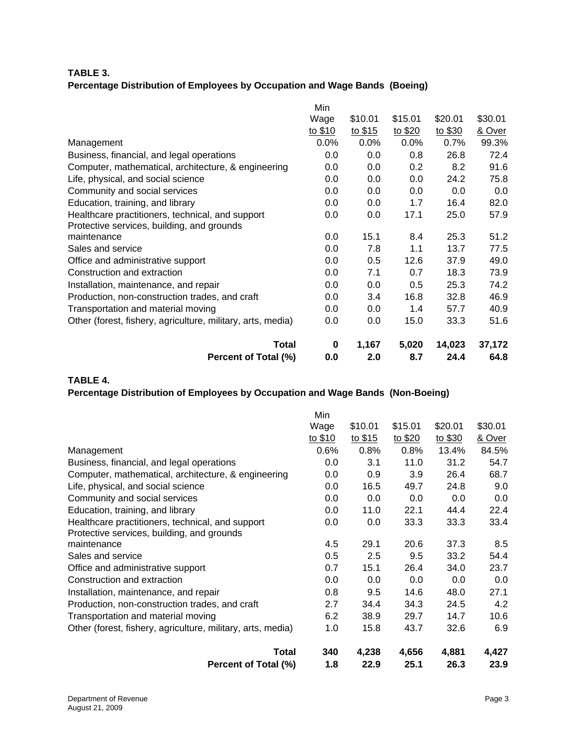### **TABLE 3. Percentage Distribution of Employees by Occupation and Wage Bands (Boeing)**

| Percent of Total (%)                                        | 0.0     | 2.0     | 8.7              | 24.4    | 64.8    |
|-------------------------------------------------------------|---------|---------|------------------|---------|---------|
| <b>Total</b>                                                | 0       | 1,167   | 5,020            | 14,023  | 37,172  |
| Other (forest, fishery, agriculture, military, arts, media) | 0.0     | 0.0     | 15.0             | 33.3    | 51.6    |
| Transportation and material moving                          | 0.0     | 0.0     | 1.4              | 57.7    | 40.9    |
| Production, non-construction trades, and craft              | 0.0     | 3.4     | 16.8             | 32.8    | 46.9    |
| Installation, maintenance, and repair                       | 0.0     | 0.0     | 0.5              | 25.3    | 74.2    |
| Construction and extraction                                 | 0.0     | 7.1     | 0.7              | 18.3    | 73.9    |
| Office and administrative support                           | 0.0     | 0.5     | 12.6             | 37.9    | 49.0    |
| Sales and service                                           | 0.0     | 7.8     | 1.1              | 13.7    | 77.5    |
| maintenance                                                 | 0.0     | 15.1    | 8.4              | 25.3    | 51.2    |
| Protective services, building, and grounds                  |         |         |                  |         |         |
| Healthcare practitioners, technical, and support            | 0.0     | 0.0     | 17.1             | 25.0    | 57.9    |
| Education, training, and library                            | 0.0     | 0.0     | 1.7              | 16.4    | 82.0    |
| Community and social services                               | 0.0     | 0.0     | 0.0              | 0.0     | 0.0     |
| Life, physical, and social science                          | 0.0     | 0.0     | 0.0              | 24.2    | 75.8    |
| Computer, mathematical, architecture, & engineering         | 0.0     | 0.0     | 0.2 <sub>0</sub> | 8.2     | 91.6    |
| Business, financial, and legal operations                   | 0.0     | 0.0     | 0.8              | 26.8    | 72.4    |
| Management                                                  | 0.0%    | 0.0%    | 0.0%             | 0.7%    | 99.3%   |
|                                                             | to \$10 | to \$15 | to \$20          | to \$30 | & Over  |
|                                                             | Wage    | \$10.01 | \$15.01          | \$20.01 | \$30.01 |
|                                                             | Min     |         |                  |         |         |

**TABLE 4.** 

### **Percentage Distribution of Employees by Occupation and Wage Bands (Non-Boeing)**

|                                                             | Min      |         |         |         |         |
|-------------------------------------------------------------|----------|---------|---------|---------|---------|
|                                                             | Wage     | \$10.01 | \$15.01 | \$20.01 | \$30.01 |
|                                                             | to $$10$ | to \$15 | to \$20 | to \$30 | & Over  |
| Management                                                  | 0.6%     | 0.8%    | 0.8%    | 13.4%   | 84.5%   |
| Business, financial, and legal operations                   | 0.0      | 3.1     | 11.0    | 31.2    | 54.7    |
| Computer, mathematical, architecture, & engineering         | 0.0      | 0.9     | 3.9     | 26.4    | 68.7    |
| Life, physical, and social science                          | 0.0      | 16.5    | 49.7    | 24.8    | 9.0     |
| Community and social services                               | 0.0      | 0.0     | 0.0     | 0.0     | 0.0     |
| Education, training, and library                            | 0.0      | 11.0    | 22.1    | 44.4    | 22.4    |
| Healthcare practitioners, technical, and support            | 0.0      | 0.0     | 33.3    | 33.3    | 33.4    |
| Protective services, building, and grounds                  |          |         |         |         |         |
| maintenance                                                 | 4.5      | 29.1    | 20.6    | 37.3    | 8.5     |
| Sales and service                                           | 0.5      | 2.5     | 9.5     | 33.2    | 54.4    |
| Office and administrative support                           | 0.7      | 15.1    | 26.4    | 34.0    | 23.7    |
| Construction and extraction                                 | 0.0      | 0.0     | 0.0     | 0.0     | 0.0     |
| Installation, maintenance, and repair                       | 0.8      | 9.5     | 14.6    | 48.0    | 27.1    |
| Production, non-construction trades, and craft              | 2.7      | 34.4    | 34.3    | 24.5    | 4.2     |
| Transportation and material moving                          | 6.2      | 38.9    | 29.7    | 14.7    | 10.6    |
| Other (forest, fishery, agriculture, military, arts, media) | 1.0      | 15.8    | 43.7    | 32.6    | 6.9     |
| <b>Total</b>                                                | 340      | 4,238   | 4,656   | 4,881   | 4,427   |
| Percent of Total (%)                                        | 1.8      | 22.9    | 25.1    | 26.3    | 23.9    |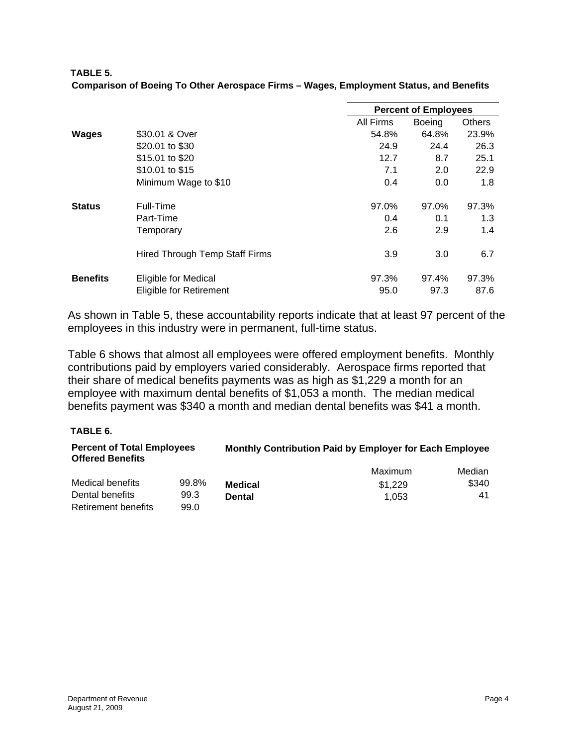| <b>TABLE 5.</b>                                                                        |  |  |
|----------------------------------------------------------------------------------------|--|--|
| Comparison of Boeing To Other Aerospace Firms - Wages, Employment Status, and Benefits |  |  |

|                 |                                                        |               | <b>Percent of Employees</b> |               |  |  |
|-----------------|--------------------------------------------------------|---------------|-----------------------------|---------------|--|--|
|                 |                                                        | All Firms     | <b>Boeing</b>               | <b>Others</b> |  |  |
| <b>Wages</b>    | \$30.01 & Over                                         | 54.8%         | 64.8%                       | 23.9%         |  |  |
|                 | \$20.01 to \$30                                        | 24.9          | 24.4                        | 26.3          |  |  |
|                 | \$15.01 to \$20                                        | 12.7          | 8.7                         | 25.1          |  |  |
|                 | \$10.01 to \$15                                        | 7.1           | 2.0                         | 22.9          |  |  |
|                 | Minimum Wage to \$10                                   | 0.4           | 0.0                         | 1.8           |  |  |
| <b>Status</b>   | Full-Time                                              | 97.0%         | 97.0%                       | 97.3%         |  |  |
|                 | Part-Time                                              | 0.4           | 0.1                         | 1.3           |  |  |
|                 | Temporary                                              | 2.6           | 2.9                         | 1.4           |  |  |
|                 | <b>Hired Through Temp Staff Firms</b>                  | 3.9           | 3.0                         | 6.7           |  |  |
| <b>Benefits</b> | Eligible for Medical<br><b>Eligible for Retirement</b> | 97.3%<br>95.0 | 97.4%<br>97.3               | 97.3%<br>87.6 |  |  |
|                 |                                                        |               |                             |               |  |  |

As shown in Table 5, these accountability reports indicate that at least 97 percent of the employees in this industry were in permanent, full-time status.

Table 6 shows that almost all employees were offered employment benefits. Monthly contributions paid by employers varied considerably. Aerospace firms reported that their share of medical benefits payments was as high as \$1,229 a month for an employee with maximum dental benefits of \$1,053 a month. The median medical benefits payment was \$340 a month and median dental benefits was \$41 a month.

### **TABLE 6.**

| <b>Percent of Total Employees</b><br><b>Offered Benefits</b> |       | Monthly Contribution Paid by Employer for Each Employee |         |        |  |
|--------------------------------------------------------------|-------|---------------------------------------------------------|---------|--------|--|
|                                                              |       |                                                         | Maximum | Median |  |
| Medical benefits                                             | 99.8% | <b>Medical</b>                                          | \$1.229 | \$340  |  |
| Dental benefits                                              | 99.3  | <b>Dental</b>                                           | 1.053   | 41     |  |
| Retirement benefits                                          | 99.0  |                                                         |         |        |  |